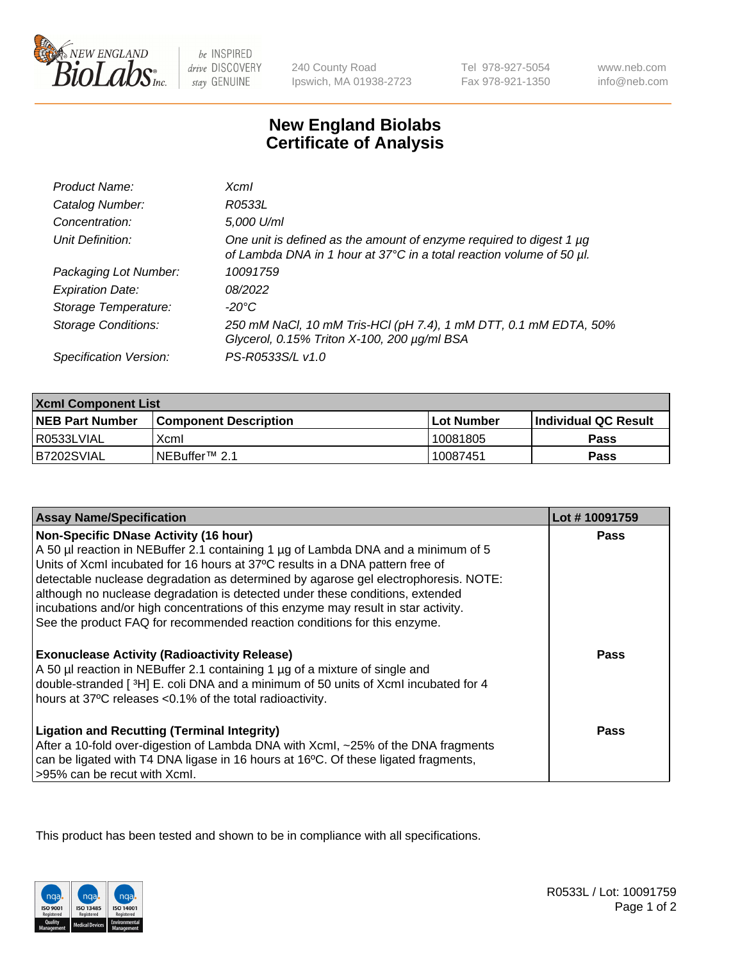

be INSPIRED drive DISCOVERY stay GENUINE

240 County Road Ipswich, MA 01938-2723 Tel 978-927-5054 Fax 978-921-1350

www.neb.com info@neb.com

## **New England Biolabs Certificate of Analysis**

| Product Name:              | $X$ cm $I$                                                                                                                                       |
|----------------------------|--------------------------------------------------------------------------------------------------------------------------------------------------|
| Catalog Number:            | R0533L                                                                                                                                           |
| Concentration:             | 5,000 U/ml                                                                                                                                       |
| Unit Definition:           | One unit is defined as the amount of enzyme required to digest 1 $\mu$ g<br>of Lambda DNA in 1 hour at 37°C in a total reaction volume of 50 µl. |
| Packaging Lot Number:      | 10091759                                                                                                                                         |
| <b>Expiration Date:</b>    | 08/2022                                                                                                                                          |
| Storage Temperature:       | -20°C                                                                                                                                            |
| <b>Storage Conditions:</b> | 250 mM NaCl, 10 mM Tris-HCl (pH 7.4), 1 mM DTT, 0.1 mM EDTA, 50%<br>Glycerol, 0.15% Triton X-100, 200 µg/ml BSA                                  |
| Specification Version:     | PS-R0533S/L v1.0                                                                                                                                 |

| <b>Xcml Component List</b> |                            |              |                             |  |
|----------------------------|----------------------------|--------------|-----------------------------|--|
| <b>NEB Part Number</b>     | l Component Description    | l Lot Number | <b>Individual QC Result</b> |  |
| I R0533LVIAL               | Xcml                       | 10081805     | Pass                        |  |
| B7202SVIAL                 | INEBuffer <sup>™</sup> 2.1 | 10087451     | Pass                        |  |

| <b>Assay Name/Specification</b>                                                                                                                                                                                                                                                                                                                                                            | Lot #10091759 |
|--------------------------------------------------------------------------------------------------------------------------------------------------------------------------------------------------------------------------------------------------------------------------------------------------------------------------------------------------------------------------------------------|---------------|
| <b>Non-Specific DNase Activity (16 hour)</b><br>A 50 µl reaction in NEBuffer 2.1 containing 1 µg of Lambda DNA and a minimum of 5<br>Units of XcmI incubated for 16 hours at 37°C results in a DNA pattern free of<br>detectable nuclease degradation as determined by agarose gel electrophoresis. NOTE:<br>although no nuclease degradation is detected under these conditions, extended | <b>Pass</b>   |
| incubations and/or high concentrations of this enzyme may result in star activity.<br>See the product FAQ for recommended reaction conditions for this enzyme.<br><b>Exonuclease Activity (Radioactivity Release)</b>                                                                                                                                                                      | Pass          |
| A 50 µl reaction in NEBuffer 2.1 containing 1 µg of a mixture of single and<br>double-stranded [3H] E. coli DNA and a minimum of 50 units of Xcml incubated for 4<br>hours at 37°C releases <0.1% of the total radioactivity.                                                                                                                                                              |               |
| <b>Ligation and Recutting (Terminal Integrity)</b><br>After a 10-fold over-digestion of Lambda DNA with Xcml, ~25% of the DNA fragments<br>can be ligated with T4 DNA ligase in 16 hours at 16°C. Of these ligated fragments,<br>>95% can be recut with Xcml.                                                                                                                              | Pass          |

This product has been tested and shown to be in compliance with all specifications.